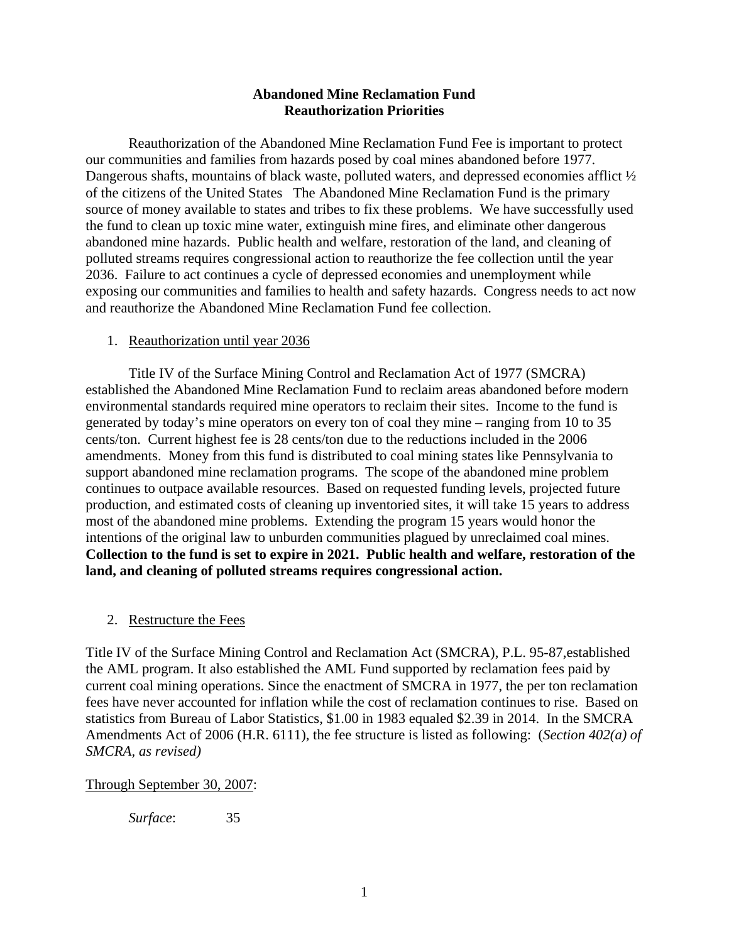## **Abandoned Mine Reclamation Fund Reauthorization Priorities**

Reauthorization of the Abandoned Mine Reclamation Fund Fee is important to protect our communities and families from hazards posed by coal mines abandoned before 1977. Dangerous shafts, mountains of black waste, polluted waters, and depressed economies afflict  $\frac{1}{2}$ of the citizens of the United States The Abandoned Mine Reclamation Fund is the primary source of money available to states and tribes to fix these problems. We have successfully used the fund to clean up toxic mine water, extinguish mine fires, and eliminate other dangerous abandoned mine hazards. Public health and welfare, restoration of the land, and cleaning of polluted streams requires congressional action to reauthorize the fee collection until the year 2036. Failure to act continues a cycle of depressed economies and unemployment while exposing our communities and families to health and safety hazards. Congress needs to act now and reauthorize the Abandoned Mine Reclamation Fund fee collection.

#### 1. Reauthorization until year 2036

 Title IV of the Surface Mining Control and Reclamation Act of 1977 (SMCRA) established the Abandoned Mine Reclamation Fund to reclaim areas abandoned before modern environmental standards required mine operators to reclaim their sites. Income to the fund is generated by today's mine operators on every ton of coal they mine – ranging from 10 to 35 cents/ton. Current highest fee is 28 cents/ton due to the reductions included in the 2006 amendments. Money from this fund is distributed to coal mining states like Pennsylvania to support abandoned mine reclamation programs. The scope of the abandoned mine problem continues to outpace available resources. Based on requested funding levels, projected future production, and estimated costs of cleaning up inventoried sites, it will take 15 years to address most of the abandoned mine problems. Extending the program 15 years would honor the intentions of the original law to unburden communities plagued by unreclaimed coal mines. **Collection to the fund is set to expire in 2021. Public health and welfare, restoration of the land, and cleaning of polluted streams requires congressional action.**

## 2. Restructure the Fees

Title IV of the Surface Mining Control and Reclamation Act (SMCRA), P.L. 95-87,established the AML program. It also established the AML Fund supported by reclamation fees paid by current coal mining operations. Since the enactment of SMCRA in 1977, the per ton reclamation fees have never accounted for inflation while the cost of reclamation continues to rise. Based on statistics from Bureau of Labor Statistics, \$1.00 in 1983 equaled \$2.39 in 2014. In the SMCRA Amendments Act of 2006 (H.R. 6111), the fee structure is listed as following: (*Section 402(a) of SMCRA, as revised)*

#### Through September 30, 2007:

*Surface*: 35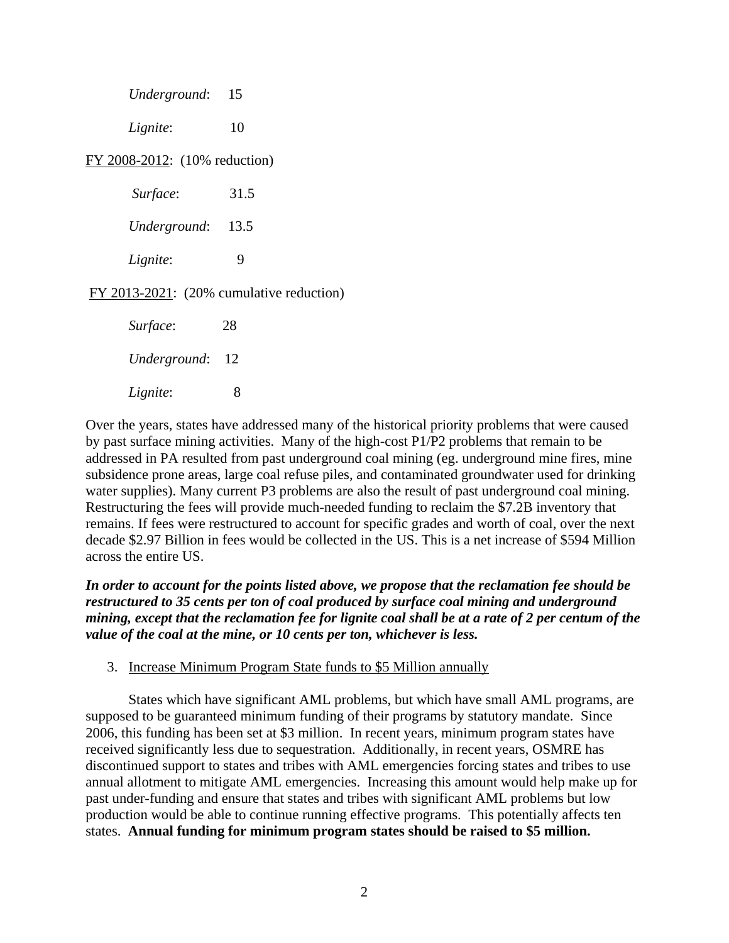|                                            | Underground: 15   |      |
|--------------------------------------------|-------------------|------|
|                                            | Lignite:          | 10   |
| FY 2008-2012: (10% reduction)              |                   |      |
|                                            | Surface:          | 31.5 |
|                                            | Underground: 13.5 |      |
|                                            | Lignite:          | 9    |
| $FY$ 2013-2021: (20% cumulative reduction) |                   |      |
|                                            | Surface:          | 28   |
|                                            | Underground: 12   |      |
|                                            | Lignite:          | 8    |

Over the years, states have addressed many of the historical priority problems that were caused by past surface mining activities. Many of the high-cost P1/P2 problems that remain to be addressed in PA resulted from past underground coal mining (eg. underground mine fires, mine subsidence prone areas, large coal refuse piles, and contaminated groundwater used for drinking water supplies). Many current P3 problems are also the result of past underground coal mining. Restructuring the fees will provide much-needed funding to reclaim the \$7.2B inventory that remains. If fees were restructured to account for specific grades and worth of coal, over the next decade \$2.97 Billion in fees would be collected in the US. This is a net increase of \$594 Million across the entire US.

*In order to account for the points listed above, we propose that the reclamation fee should be restructured to 35 cents per ton of coal produced by surface coal mining and underground mining, except that the reclamation fee for lignite coal shall be at a rate of 2 per centum of the value of the coal at the mine, or 10 cents per ton, whichever is less.* 

3. Increase Minimum Program State funds to \$5 Million annually

States which have significant AML problems, but which have small AML programs, are supposed to be guaranteed minimum funding of their programs by statutory mandate. Since 2006, this funding has been set at \$3 million. In recent years, minimum program states have received significantly less due to sequestration. Additionally, in recent years, OSMRE has discontinued support to states and tribes with AML emergencies forcing states and tribes to use annual allotment to mitigate AML emergencies. Increasing this amount would help make up for past under-funding and ensure that states and tribes with significant AML problems but low production would be able to continue running effective programs. This potentially affects ten states. **Annual funding for minimum program states should be raised to \$5 million.**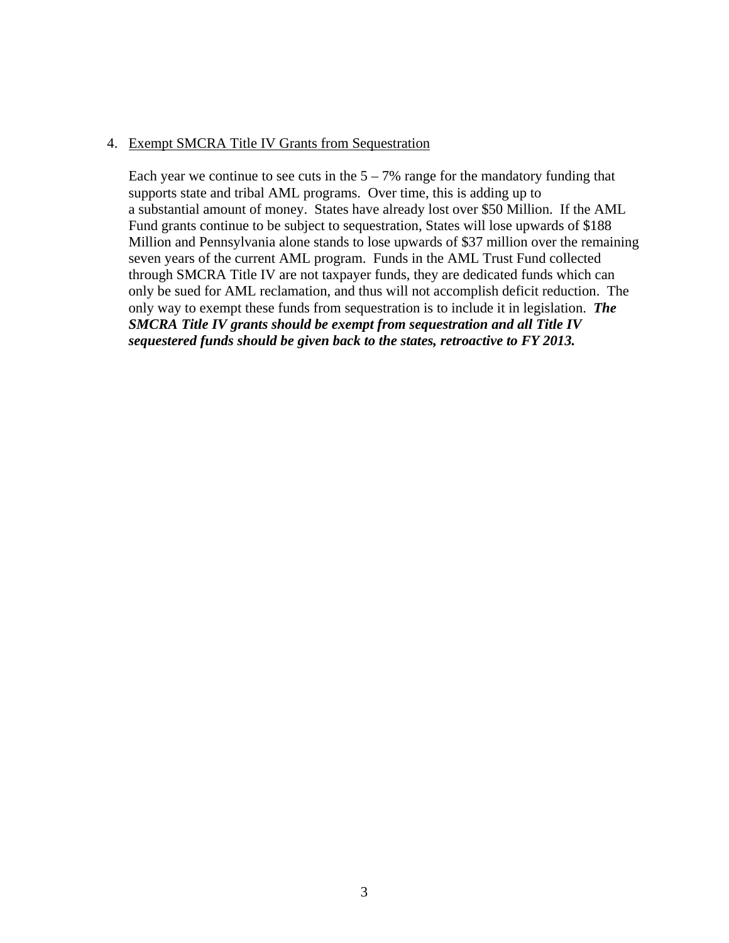### 4. Exempt SMCRA Title IV Grants from Sequestration

Each year we continue to see cuts in the  $5 - 7\%$  range for the mandatory funding that supports state and tribal AML programs. Over time, this is adding up to a substantial amount of money. States have already lost over \$50 Million. If the AML Fund grants continue to be subject to sequestration, States will lose upwards of \$188 Million and Pennsylvania alone stands to lose upwards of \$37 million over the remaining seven years of the current AML program. Funds in the AML Trust Fund collected through SMCRA Title IV are not taxpayer funds, they are dedicated funds which can only be sued for AML reclamation, and thus will not accomplish deficit reduction. The only way to exempt these funds from sequestration is to include it in legislation. *The SMCRA Title IV grants should be exempt from sequestration and all Title IV sequestered funds should be given back to the states, retroactive to FY 2013.*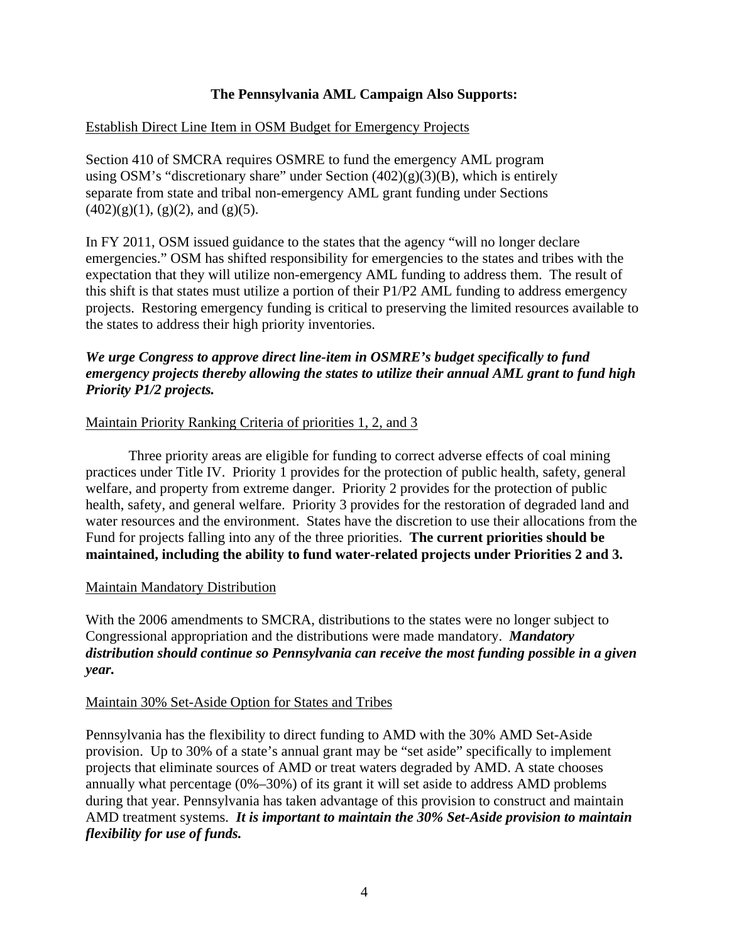# **The Pennsylvania AML Campaign Also Supports:**

## Establish Direct Line Item in OSM Budget for Emergency Projects

Section 410 of SMCRA requires OSMRE to fund the emergency AML program using OSM's "discretionary share" under Section (402)(g)(3)(B), which is entirely separate from state and tribal non-emergency AML grant funding under Sections  $(402)(g)(1)$ ,  $(g)(2)$ , and  $(g)(5)$ .

In FY 2011, OSM issued guidance to the states that the agency "will no longer declare emergencies." OSM has shifted responsibility for emergencies to the states and tribes with the expectation that they will utilize non-emergency AML funding to address them. The result of this shift is that states must utilize a portion of their P1/P2 AML funding to address emergency projects. Restoring emergency funding is critical to preserving the limited resources available to the states to address their high priority inventories.

# *We urge Congress to approve direct line-item in OSMRE's budget specifically to fund emergency projects thereby allowing the states to utilize their annual AML grant to fund high Priority P1/2 projects.*

## Maintain Priority Ranking Criteria of priorities 1, 2, and 3

 Three priority areas are eligible for funding to correct adverse effects of coal mining practices under Title IV. Priority 1 provides for the protection of public health, safety, general welfare, and property from extreme danger. Priority 2 provides for the protection of public health, safety, and general welfare. Priority 3 provides for the restoration of degraded land and water resources and the environment. States have the discretion to use their allocations from the Fund for projects falling into any of the three priorities. **The current priorities should be maintained, including the ability to fund water-related projects under Priorities 2 and 3.**

## Maintain Mandatory Distribution

With the 2006 amendments to SMCRA, distributions to the states were no longer subject to Congressional appropriation and the distributions were made mandatory. *Mandatory distribution should continue so Pennsylvania can receive the most funding possible in a given year.* 

## Maintain 30% Set-Aside Option for States and Tribes

Pennsylvania has the flexibility to direct funding to AMD with the 30% AMD Set-Aside provision. Up to 30% of a state's annual grant may be "set aside" specifically to implement projects that eliminate sources of AMD or treat waters degraded by AMD. A state chooses annually what percentage (0%–30%) of its grant it will set aside to address AMD problems during that year. Pennsylvania has taken advantage of this provision to construct and maintain AMD treatment systems. *It is important to maintain the 30% Set-Aside provision to maintain flexibility for use of funds.*